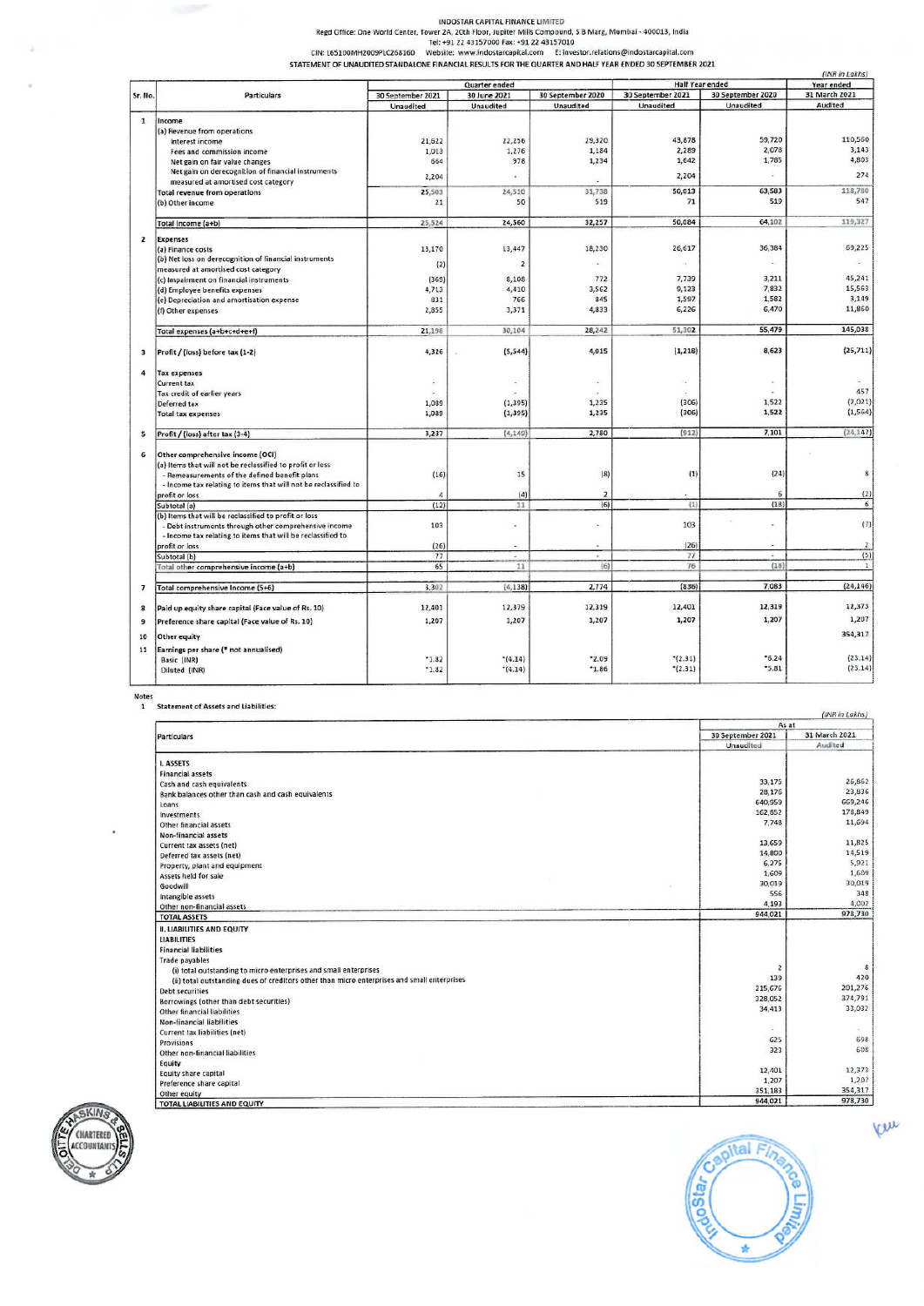INDOSTAR CAPITAL FINANCE LIMITED<br>Regd Office: One World Center, Tower 2A, 20th Floor, Jupiter Mills Compound, S B Marg, Mumbai - 400013, India<br>CIN: L65100MH2009PLC268160 Website: www.indostarcapital.com

|                                                                                                                                                                         |                                                                 |                   |                |                   | (INR in Lakhs)         |                   |                |
|-------------------------------------------------------------------------------------------------------------------------------------------------------------------------|-----------------------------------------------------------------|-------------------|----------------|-------------------|------------------------|-------------------|----------------|
|                                                                                                                                                                         |                                                                 | Quarter ended     |                |                   | <b>Half Year ended</b> | Year ended        |                |
|                                                                                                                                                                         | Particulars                                                     | 30 September 2021 | 30 June 2021   | 30 September 2020 | 30 September 2021      | 30 September 2020 | 31 March 2021  |
|                                                                                                                                                                         |                                                                 | Unaudited         | Unaudited      | Unaudited         | Unaudited              | Unaudited         | Audited        |
|                                                                                                                                                                         |                                                                 |                   |                |                   |                        |                   |                |
|                                                                                                                                                                         | Income                                                          |                   |                |                   |                        |                   |                |
|                                                                                                                                                                         | (a) Revenue from operations                                     | 21,622            | 22,256         | 29,320            | 43,878                 | 59,720            | 110,560        |
|                                                                                                                                                                         | Interest income                                                 |                   | 1,276          | 1,184             | 2,289                  | 2,078             | 3,143          |
|                                                                                                                                                                         | Fees and commission income                                      | 1,013             |                |                   |                        |                   | 4,803          |
|                                                                                                                                                                         | Net gain on fair value changes                                  | 664               | 978            | 1,234             | 1,642                  | 1,785             |                |
|                                                                                                                                                                         | Net gain on derecognition of financial instruments              | 2,204             |                |                   | 2,204                  |                   | 274            |
|                                                                                                                                                                         | measured at amortised cost category                             |                   |                |                   |                        |                   |                |
|                                                                                                                                                                         | Total revenue from operations                                   | 25,503            | 24,510         | 31,738            | 50,013                 | 63,583            | 118,780        |
|                                                                                                                                                                         | (b) Other income                                                | 21                | 50             | 519               | 71                     | 519               | 547            |
|                                                                                                                                                                         |                                                                 |                   |                |                   |                        |                   |                |
|                                                                                                                                                                         | Total income (a+b)                                              | 25,524            | 24,560         | 32,257            | 50,084                 | 64,102            | 119,327        |
|                                                                                                                                                                         | <b>Expenses</b>                                                 |                   |                |                   |                        |                   |                |
|                                                                                                                                                                         | (a) Finance costs                                               | 13,170            | 13,447         | 18,230            | 26,617                 | 36,384            | 69,225         |
|                                                                                                                                                                         | (b) Net loss on derecognition of financial instruments          |                   |                |                   |                        |                   |                |
|                                                                                                                                                                         | measured at amortised cost category                             | (2)               | $\overline{2}$ | $\omega$          |                        | ×                 |                |
| Sr. No.<br>$\mathbf{1}$<br>$\overline{2}$<br>$\overline{\mathbf{3}}$<br>4<br>$\overline{\phantom{a}}$<br>6<br>$\overline{\phantom{a}}$<br>$\mathbf{a}$<br>9<br>10<br>11 | (c) Impairment on financial instruments                         | (369)             | 8,108          | 772               | 7,739                  | 3,211             | 45,241         |
|                                                                                                                                                                         | (d) Employee benefits expenses                                  | 4,713             | 4,410          | 3,562             | 9,123                  | 7,832             | 15,563         |
|                                                                                                                                                                         | (e) Depreciation and amortisation expense                       | 831               | 766            | 845               | 1,597                  | 1,582             | 3,149          |
|                                                                                                                                                                         |                                                                 | 2,855             | 3,371          | 4,833             | 6,226                  | 6,470             | 11,860         |
|                                                                                                                                                                         | (f) Other expenses                                              |                   |                |                   |                        |                   |                |
|                                                                                                                                                                         | Total expenses (a+b+c+d+e+f)                                    | 21.198            | 30,104         | 28,242            | 51,302                 | 55,479            | 145,038        |
|                                                                                                                                                                         | Profit / (loss) before tax (1-2)                                | 4,326             | (5, 544)       | 4,015             | (1, 218)               | 8,623             | (25, 711)      |
|                                                                                                                                                                         |                                                                 |                   |                |                   |                        |                   |                |
|                                                                                                                                                                         | <b>Tax expenses</b>                                             |                   |                |                   |                        |                   |                |
|                                                                                                                                                                         | <b>Current tax</b>                                              | $\sim$            | ×,             | $\alpha$          |                        | $\bar{a}$         |                |
|                                                                                                                                                                         | Tax credit of earlier years                                     |                   |                |                   |                        |                   | 457            |
|                                                                                                                                                                         | Deferred tax                                                    | 1,089             | (1, 395)       | 1,235             | (306)                  | 1,522             | (2,021)        |
|                                                                                                                                                                         | <b>Total tax expenses</b>                                       | 1,089             | (1, 395)       | 1,235             | (306)                  | 1,522             | (1, 564)       |
|                                                                                                                                                                         | Profit / (loss) after tax (3-4)                                 | 3,237             | (4, 149)       | 2,780             | (912)                  | 7,101             | (24, 147)      |
|                                                                                                                                                                         | Other comprehensive income (OCI)                                |                   |                |                   |                        |                   |                |
|                                                                                                                                                                         | (a) Items that will not be reclassified to profit or loss       |                   |                |                   |                        |                   |                |
|                                                                                                                                                                         | - Remeasurements of the defined benefit plans                   | (16)              | 15             | (8)               | (1)                    | (24)              | 8              |
|                                                                                                                                                                         | - Income tax relating to items that will not be reclassified to |                   |                |                   |                        |                   |                |
|                                                                                                                                                                         | profit or loss                                                  | 4                 | (4)            | $\overline{2}$    |                        | 6                 | (2)            |
|                                                                                                                                                                         |                                                                 | (12)              | 11             | (6)               | (1)                    | (18)              | 6              |
|                                                                                                                                                                         | Subtotal (a)                                                    |                   |                |                   |                        |                   |                |
|                                                                                                                                                                         | (b) Items that will be reclassified to profit or loss           | 103               |                |                   | 103                    | $\alpha$          | (7)            |
|                                                                                                                                                                         | - Debt instruments through other comprehensive income           |                   |                |                   |                        |                   |                |
|                                                                                                                                                                         | - Income tax relating to items that will be reclassified to     |                   |                |                   |                        |                   |                |
|                                                                                                                                                                         | profit or loss                                                  | (26)              | ٠              | ٠                 | (26)                   |                   | $\overline{2}$ |
|                                                                                                                                                                         | Subtotal (b)                                                    | 77                | ×              |                   | 77                     |                   | (5)            |
|                                                                                                                                                                         | Total other comprehensive income (a+b)                          | 65                | 11             | (6)               | 76                     | (18)              | $\mathbf{1}$   |
|                                                                                                                                                                         | Total comprehensive Income (5+6)                                | 3,302             | (4.138)        | 2,774             | (836)                  | 7,083             | (24, 146)      |
|                                                                                                                                                                         | Paid up equity share capital (Face value of Rs. 10)             | 12,401            | 12,379         | 12,319            | 12,401                 | 12,319            | 12,373         |
|                                                                                                                                                                         | Preference share capital (Face value of Rs. 10)                 | 1,207             | 1,207          | 1,207             | 1,207                  | 1,207             | 1,207          |
|                                                                                                                                                                         | Other equity                                                    |                   |                |                   |                        |                   | 354,317        |
|                                                                                                                                                                         | Earnings per share (* not annualised)                           |                   |                |                   |                        |                   |                |
|                                                                                                                                                                         |                                                                 | $-1.82$           | $*(4.14)$      | "2.09"            | $*(2.31)$              | $*6.24$           | (23.14)        |
|                                                                                                                                                                         | Basic (INR)                                                     | $-1.82$           | $*(4.14)$      | $*1.86$           | $*(2.31)$              | *5.81             | (23.14)        |
|                                                                                                                                                                         | Diluted (INR)                                                   |                   |                |                   |                        |                   |                |

Notes<br>1 Statement of Assets and Liabilities:

|                                                                                             |                         | As at         |  |
|---------------------------------------------------------------------------------------------|-------------------------|---------------|--|
| Particulars                                                                                 | 30 September 2021       | 31 March 2021 |  |
|                                                                                             | Unaudited               | Audited       |  |
| I. ASSETS                                                                                   |                         |               |  |
| <b>Financial assets</b>                                                                     |                         |               |  |
| Cash and cash equivalents                                                                   | 33.175                  | 26,862        |  |
| Bank balances other than cash and cash equivalents                                          | 28,176                  | 23,836        |  |
| Loans                                                                                       | 640,959                 | 669,246       |  |
| Investments                                                                                 | 162,852                 | 178,849       |  |
| Other financial assets                                                                      | 7,748                   | 11,694        |  |
| <b>Non-financial assets</b>                                                                 |                         |               |  |
| Current tax assets (net)                                                                    | 13,659                  | 11,825        |  |
| Deferred tax assets (net)                                                                   | 14,800                  | 14,519        |  |
| Property, plant and equipment                                                               | 6,275                   | 5,921         |  |
| Assets held for sale                                                                        | 1,609                   | 1,609         |  |
| Goodwill                                                                                    | 30,019                  | 30,019        |  |
| Intangible assets                                                                           | 556                     | 348           |  |
| Other non-financial assets                                                                  | 4.193                   | 4,002         |  |
| <b>TOTAL ASSETS</b>                                                                         | 944,021                 | 978,730       |  |
| <b>II. LIABILITIES AND EQUITY</b>                                                           |                         |               |  |
| <b>LIABILITIES</b>                                                                          |                         |               |  |
| <b>Financial liabilities</b>                                                                |                         |               |  |
| <b>Trade payables</b>                                                                       |                         |               |  |
| (i) total outstanding to micro enterprises and small enterprises                            | $\overline{\mathbf{z}}$ |               |  |
| (ii) total outstanding dues of creditors other than micro enterprises and small enterprises | 139                     | 420           |  |
| <b>Debt securities</b>                                                                      | 215,676                 | 201,276       |  |
| Borrowings (other than debt securities)                                                     | 328,052                 | 374,791       |  |
| Other financial liabilities                                                                 | 34,413                  | 33,032        |  |
| Non-financial liabilities                                                                   |                         |               |  |
| Current tax liabilities (net)                                                               | ÷                       |               |  |
| Provisions                                                                                  | 625                     | 698           |  |
| Other non-financial liabilities                                                             | 323                     | 608           |  |
| Equity                                                                                      |                         |               |  |
| Equity share capital                                                                        | 12,401                  | 12,373        |  |
| Preference share capital                                                                    | 1,207                   | 1,207         |  |
| Other equity                                                                                | 351,183                 | 354,317       |  |
| TOTAL HABILITIES AND FOLLITY                                                                | 944,021                 | 978,730       |  |





ku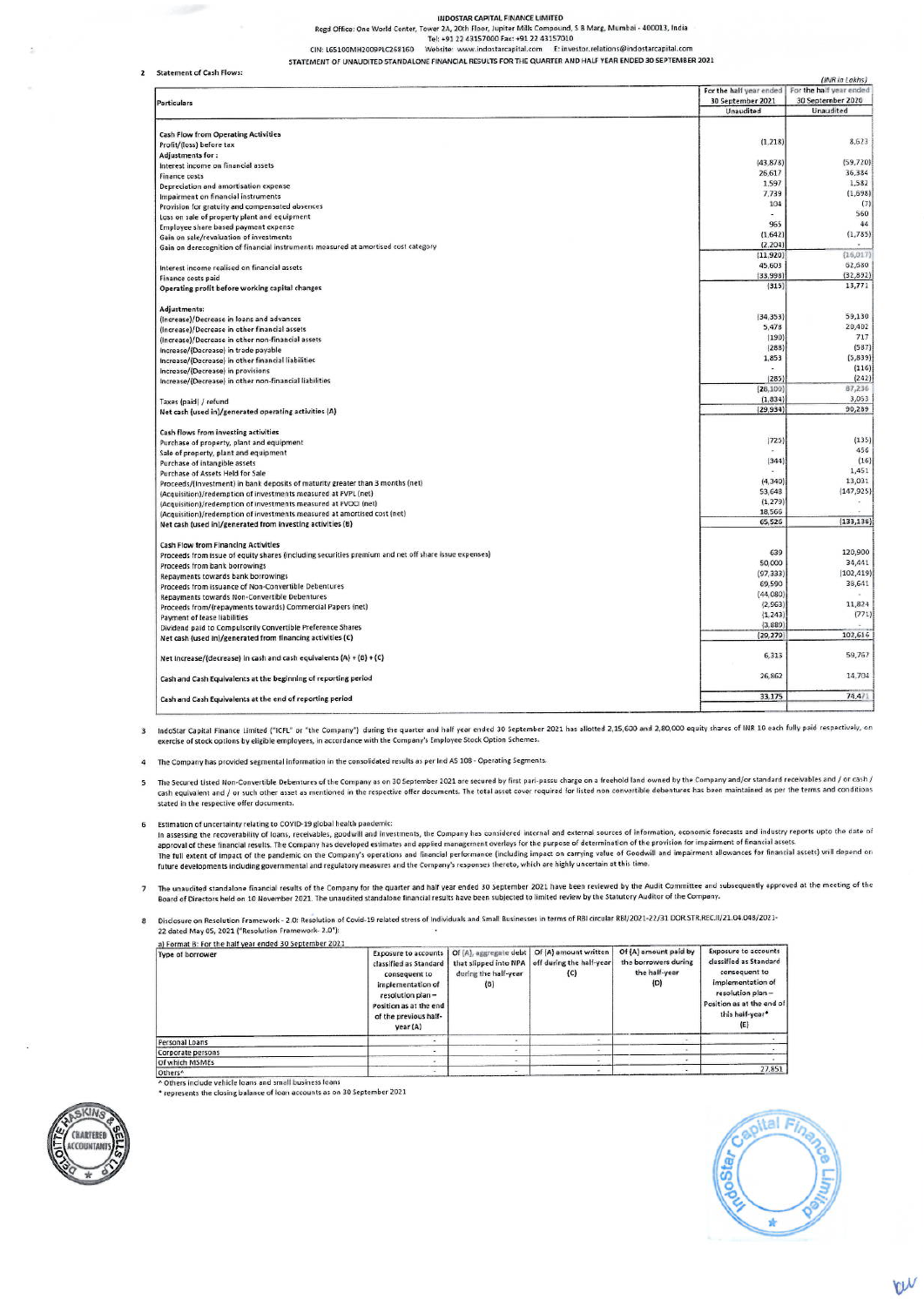#### INDOSTAR CAPITAL FINANCE LIMITED

Regd Office: One World Center, Tower 2A, 20th Floor, Jupiter Mills Compound, S B Marg, Mumbai - 400013, India<br>Tel: +91 22 43157000 Fax: +91 22 43157010<br>CIN: L65100MH2009PLC268160 Website: www.indostarcapital.com E: investo

STATEMENT OF UNAUDITED STANDALONE FINANCIAL RESULTS FOR THE QUARTER AND HALF YEAR ENDED 30 SEPTEMBER 2021

2 Statement of Cash Flo

|                                                                                                      |                         | (INR in Lakhs)          |  |  |
|------------------------------------------------------------------------------------------------------|-------------------------|-------------------------|--|--|
|                                                                                                      | For the half year ended | For the half year ended |  |  |
| <b>Particulars</b>                                                                                   | 30 September 2021       | 30 September 2020       |  |  |
|                                                                                                      | Unaudited               | Unaudited               |  |  |
| <b>Cash Flow from Operating Activities</b>                                                           |                         |                         |  |  |
| Profit/(loss) before tax                                                                             | (1, 218)                | 8,623                   |  |  |
| Adjustments for:                                                                                     |                         |                         |  |  |
| Interest income on financial assets                                                                  | (43, 878)               | (59, 720)               |  |  |
| <b>Finance costs</b>                                                                                 | 26,617                  | 36,384                  |  |  |
|                                                                                                      | 1,597                   | 1,582                   |  |  |
| Depreciation and amortisation expense                                                                | 7,739                   | (1,698)                 |  |  |
| Impairment on financial instruments                                                                  | 104                     | (7)                     |  |  |
| Provision for gratuity and compensated absences                                                      |                         | 560                     |  |  |
| Loss on sale of property plant and equipment                                                         | 965                     | 44                      |  |  |
| Employee share based payment expense                                                                 |                         |                         |  |  |
| Gain on sale/revaluation of investments                                                              | (1, 642)                | (1,785)                 |  |  |
| Gain on derecognition of financial instruments measured at amortised cost category                   | (2, 204)                |                         |  |  |
|                                                                                                      | (11, 920)               | (16, 017)               |  |  |
| Interest income realised on financial assets                                                         | 45,603                  | 62,680                  |  |  |
| Finance costs paid                                                                                   | (33,998)                | (32, 892)               |  |  |
| Operating profit before working capital changes                                                      | (315)                   | 13,771                  |  |  |
| Adjustments:                                                                                         |                         |                         |  |  |
| (Increase)/Decrease in loans and advances                                                            | (34, 353)               | 59,130                  |  |  |
| (Increase)/Decrease in other financial assets                                                        | 5,478                   | 20,402                  |  |  |
| (Increase)/Decrease in other non-financial assets                                                    | (190)                   | 717                     |  |  |
| Increase/(Decrease) in trade payable                                                                 | (288)                   | (587)                   |  |  |
|                                                                                                      | 1,853                   | (5, 839)                |  |  |
| Increase/(Decrease) in other financial liabilities                                                   |                         | (116)                   |  |  |
| Increase/(Decrease) in provisions                                                                    | (285)                   | (242)                   |  |  |
| Increase/(Decrease) in other non-financial liabilities                                               | (28, 100)               | 87,236                  |  |  |
|                                                                                                      |                         | 3,053                   |  |  |
| Taxes (paid) / refund                                                                                | (1, 834)                | 90,289                  |  |  |
| Net cash (used in)/generated operating activities (A)                                                | (29, 934)               |                         |  |  |
| Cash flows from investing activities                                                                 |                         |                         |  |  |
| Purchase of property, plant and equipment                                                            | (725)                   | (135)                   |  |  |
| Sale of property, plant and equipment                                                                |                         | 456                     |  |  |
| Purchase of intangible assets                                                                        | (344)                   | (16)                    |  |  |
| Purchase of Assets Held for Sale                                                                     |                         | 1,451                   |  |  |
| Proceeds/(Investment) in bank deposits of maturity greater than 3 months (net)                       | (4, 340)                | 13,031                  |  |  |
| (Acquisition)/redemption of investments measured at FVPL (net)                                       | 53,648                  | (147, 925)              |  |  |
| (Acquisition)/redemption of investments measured at FVOCI (net)                                      | (1, 279)                | $\sim$                  |  |  |
| (Acquisition)/redemption of investments measured at amortised cost (net)                             | 18,566                  |                         |  |  |
| Net cash (used in)/generated from investing activities (B)                                           | 65,526                  | (133, 138)              |  |  |
| <b>Cash Flow from Financing Activities</b>                                                           |                         |                         |  |  |
| Proceeds from issue of equity shares (including securities premium and net off share issue expenses) | 639                     | 120,900                 |  |  |
| Proceeds from bank borrowings                                                                        | 50,000                  | 34,441                  |  |  |
| Repayments towards bank borrowings                                                                   | (97, 333)               | (102, 419)              |  |  |
|                                                                                                      | 69,590                  | 38,641                  |  |  |
| Proceeds from issuance of Non-Convertible Debentures                                                 | (44, 080)               |                         |  |  |
| Repayments towards Non-Convertible Debentures                                                        | (2, 963)                | 11,824                  |  |  |
| Proceeds from/(repayments towards) Commercial Papers (net)                                           | (1, 243)                | (771)                   |  |  |
| <b>Payment of lease liabilities</b>                                                                  | (3,889)                 |                         |  |  |
| Dividend paid to Compulsorily Convertible Preference Shares                                          | (29, 279)               | 102,616                 |  |  |
| Net cash (used in)/generated from financing activities (C)                                           |                         |                         |  |  |
| Net Increase/(decrease) in cash and cash equivalents (A) + (B) + (C)                                 | 6,313                   | 59,767                  |  |  |
| Cash and Cash Equivalents at the beginning of reporting period                                       | 26,862                  | 14,704                  |  |  |
| Cash and Cash Equivalents at the end of reporting period                                             | 33,175                  | 74,471                  |  |  |
|                                                                                                      |                         |                         |  |  |

3 IndoStar Capital Finance Limited ("ICFL" or "the Company") during the quarter and half year ended 30 September 2021 has allotted 2,15,600 and 2,80,000 equity shares of INR 10 each fully paid respectively, on exercise of stock options by eligible employees, in accordance with the Company's Employee Stock Option Schemes.

The Company has provided segmental information in the consolidated results as per Ind AS 108 - Operating Segments.  $\overline{4}$ 

The Secured Listed Non-Convertible Debentures of the Company as on 30 September 2021 are secured by first pari-passu charge on a freehold land owned by the Company and/or standard receivables and / or cash /  $5^{\circ}$ cash equivalent and / or such other asset as mentioned in the respective offer documents. The total asset cover required for listed non convertible debentures has been maintained as per the terms and conditions stated in the respective offer documents.

6 Estimation of uncertainty relating to COVID-19 global health pandemic: estimation or uncertainty relating to COVID-13 given incard parametrims. The Company has considered internal and external sources of information, economic forecasts and industry reports upto the date of In assessing the returnation relationships and produce in the property of the purpose of determination of the provision for impairment of financial assets.<br>Approval of these financial results. The Company's speciological m future developments including governmental and regulatory measures and the Company's responses thereto, which are highly uncertain at this time.

The unaudited standalone financial results of the Company for the quarter and half year ended 30 September 2021 have been reviewed by the Audit Committee and subsequently approved at the meeting of the<br>Board of Directors h  $\overline{\phantom{a}}$ 

Disclosure on Resolution Framework - 2.0: Resolution of Covid-19 related stress of Individuals and Small Businesses in terms of RBI circular RBI/2021-22/31 DOR.STR.REC.II/21.04.048/2021-8 22 dated May 05, 2021 ("Resolution Framework- 2.0"):

a) Format B: For the half year ended 30 September 2021<br>Type of borrower Exposure to accounts<br>classified as Standard Of (A), aggregate debt | Of (A) amount written<br>that slipped into NPA | off during the half-year Of (A) amount paid by **Exposure to accounts** off during the half-yea the borrowers during<br>the half-year classified as Standard consequent to consequent to during the half-year  $(C)$ implementation of implementation of  $(B)$  $(D)$ resolution plan resolution plan-Position as at the end Position as at the end of this half-year\*<br>(E) of the previous halfvear (A) Personal Loans Corporate persons<br>Of which MSMEs 27,851 Others<sup>A</sup>

Others include vehicle loans and small business loans \* represents the closing balance of loan accounts as on 30 September 2021



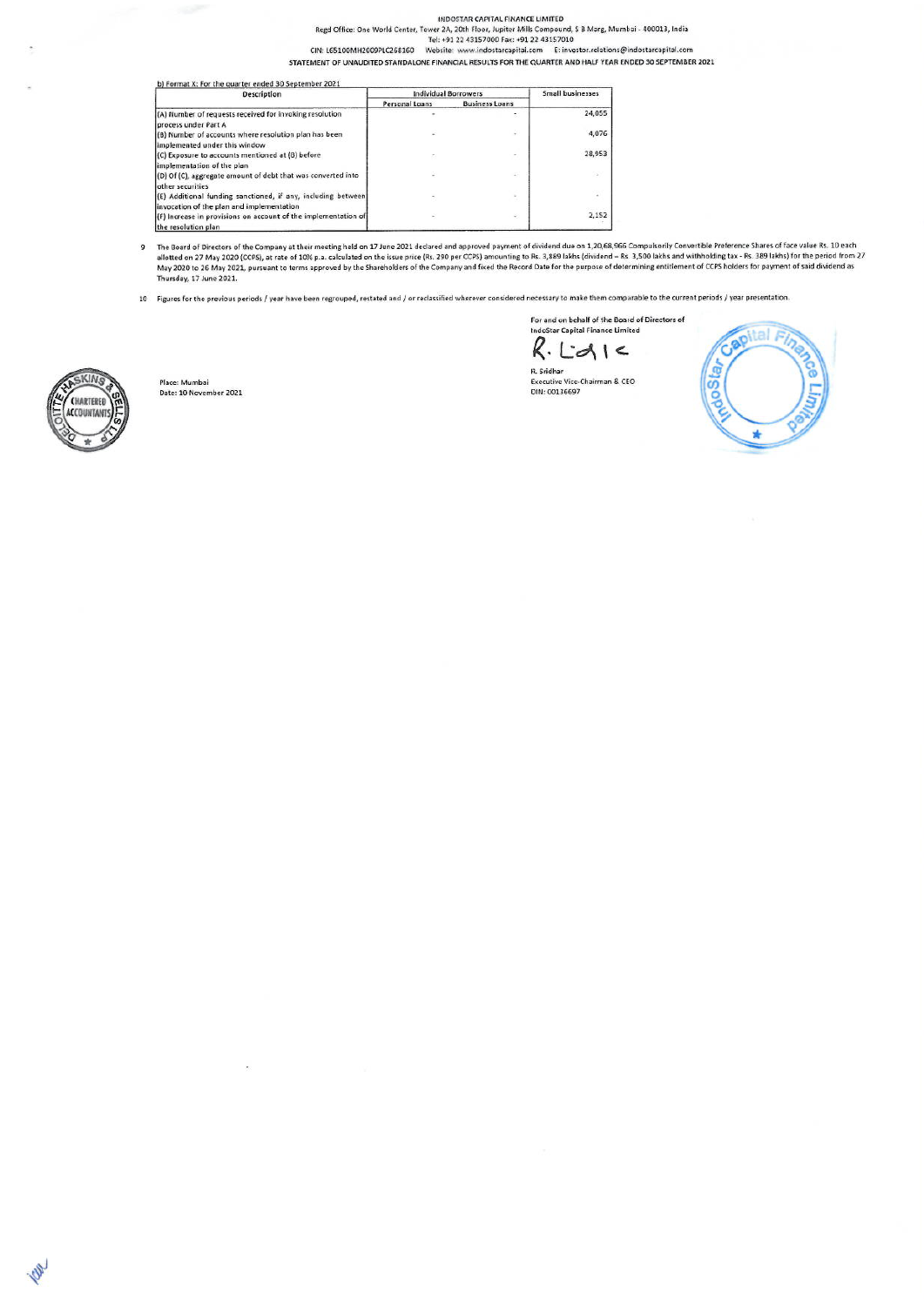#### INDOSTAR CAPITAL FINANCE LIMITED

Regd Office: One World Center, Tower 2A, 20th Floor, Jupiter Mills Compound, S B Marg, Mumbai - 400013, India<br>Tel: +91 22 43157000 Fax: +91 22 43157010<br>CIN: L65100MH2009PLC268160 Website: www.indostarcapital.com E: investo

STATEMENT OF UNAUDITED STANDALONE FINANCIAL RESULTS FOR THE QUARTER AND HALF YEAR ENDED 30 SEPTEMBER 2021

| <b>Description</b>                                                                                                                 | <b>Individual Borrowers</b> | Small businesses      |               |
|------------------------------------------------------------------------------------------------------------------------------------|-----------------------------|-----------------------|---------------|
|                                                                                                                                    | Personal Loans              | <b>Business Loans</b> |               |
| (A) Number of requests received for invoking resolution<br>process under Part A                                                    |                             | ÷.                    | 24.055        |
| (B) Number of accounts where resolution plan has been<br>implemented under this window                                             |                             | ż                     | 4,076         |
| (C) Exposure to accounts mentioned at (B) before<br>implementation of the plan                                                     |                             | $\sim$                | 28,953        |
| (D) Of (C), aggregate amount of debt that was converted into<br>other securities                                                   |                             | ÷                     | $\mathcal{L}$ |
| (E) Additional funding sanctioned, if any, including between                                                                       |                             |                       | ÷.            |
| invocation of the plan and implementation<br>(F) Increase in provisions on account of the implementation of<br>the resolution plan |                             | ÷                     | 2,152         |

The Board of Directors of the Company at their meeting held on 17 June 2021 declared and approved payment of dividend due on 1,20,68,966 Compulsorily Convertible Preference Shares of face value Rs. 10 each<br>allotted on 27 M  $\overline{\mathbf{g}}$ Thursday, 17 June 2021.

10 Figures for the previous periods / year have been regrouped, restated and / or reclassified wherever considered necessary to make them comparable to the current periods / year presentation.

For and on behalf of the Board of Directors of IndoStar Capital Finance Limited  $R.Ed1c$ 







**O** 

Place: Mumbai<br>Date: 10 November 2021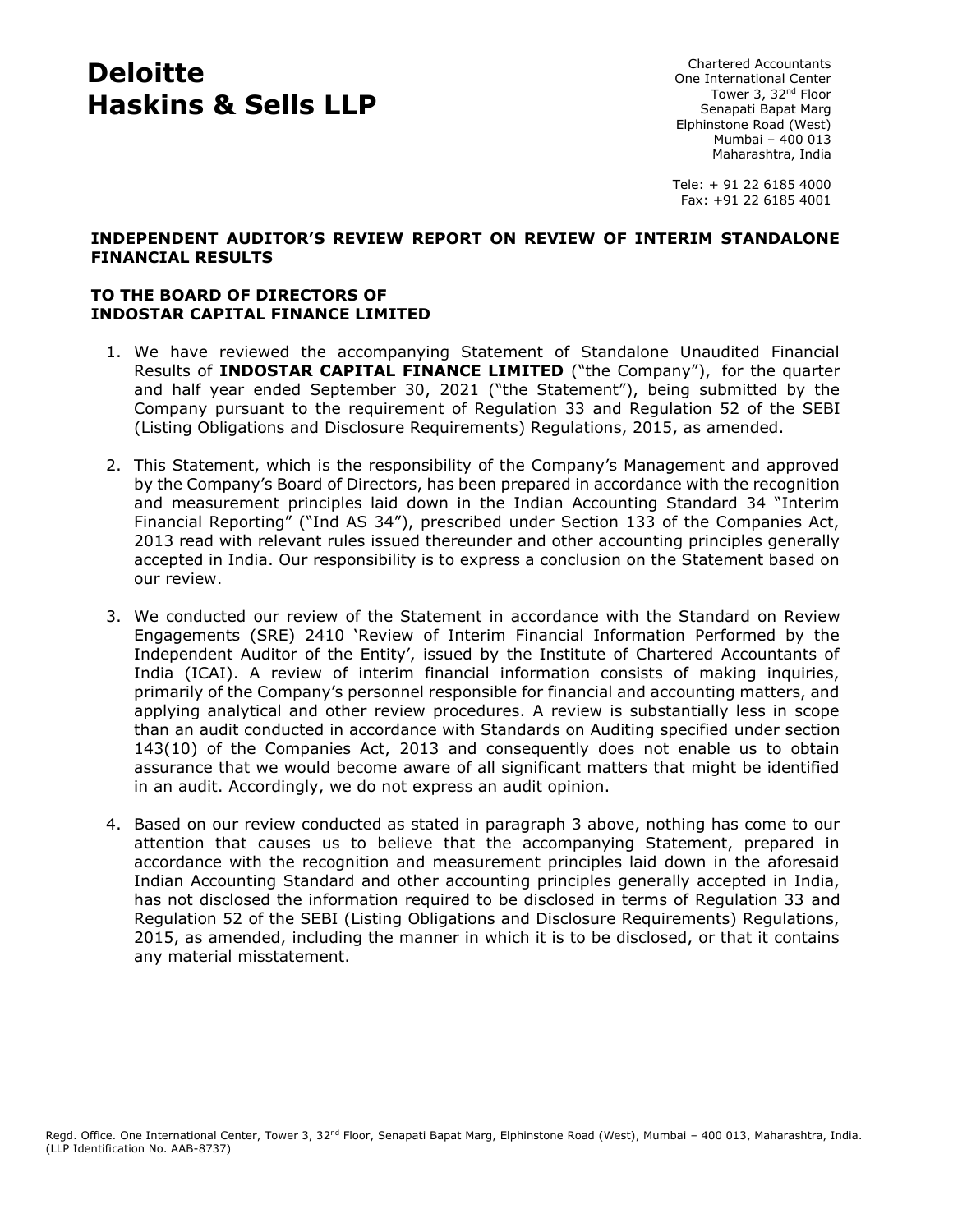# **Deloitte Haskins & Sells LLP**

Chartered Accountants One International Center Tower 3, 32<sup>nd</sup> Floor Senapati Bapat Marg Elphinstone Road (West) Mumbai – 400 013 Maharashtra, India

Tele: + 91 22 6185 4000 Fax: +91 22 6185 4001

#### **INDEPENDENT AUDITOR'S REVIEW REPORT ON REVIEW OF INTERIM STANDALONE FINANCIAL RESULTS**

## **TO THE BOARD OF DIRECTORS OF INDOSTAR CAPITAL FINANCE LIMITED**

- 1. We have reviewed the accompanying Statement of Standalone Unaudited Financial Results of **INDOSTAR CAPITAL FINANCE LIMITED** ("the Company"), for the quarter and half year ended September 30, 2021 ("the Statement"), being submitted by the Company pursuant to the requirement of Regulation 33 and Regulation 52 of the SEBI (Listing Obligations and Disclosure Requirements) Regulations, 2015, as amended.
- 2. This Statement, which is the responsibility of the Company's Management and approved by the Company's Board of Directors, has been prepared in accordance with the recognition and measurement principles laid down in the Indian Accounting Standard 34 "Interim Financial Reporting" ("Ind AS 34"), prescribed under Section 133 of the Companies Act, 2013 read with relevant rules issued thereunder and other accounting principles generally accepted in India. Our responsibility is to express a conclusion on the Statement based on our review.
- 3. We conducted our review of the Statement in accordance with the Standard on Review Engagements (SRE) 2410 'Review of Interim Financial Information Performed by the Independent Auditor of the Entity', issued by the Institute of Chartered Accountants of India (ICAI). A review of interim financial information consists of making inquiries, primarily of the Company's personnel responsible for financial and accounting matters, and applying analytical and other review procedures. A review is substantially less in scope than an audit conducted in accordance with Standards on Auditing specified under section 143(10) of the Companies Act, 2013 and consequently does not enable us to obtain assurance that we would become aware of all significant matters that might be identified in an audit. Accordingly, we do not express an audit opinion.
- 4. Based on our review conducted as stated in paragraph 3 above, nothing has come to our attention that causes us to believe that the accompanying Statement, prepared in accordance with the recognition and measurement principles laid down in the aforesaid Indian Accounting Standard and other accounting principles generally accepted in India, has not disclosed the information required to be disclosed in terms of Regulation 33 and Regulation 52 of the SEBI (Listing Obligations and Disclosure Requirements) Regulations, 2015, as amended, including the manner in which it is to be disclosed, or that it contains any material misstatement.